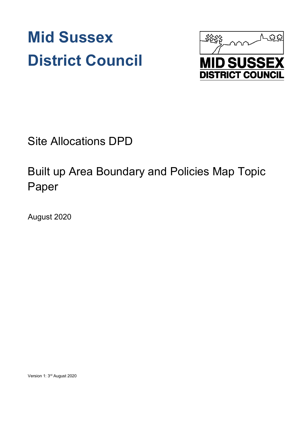# **Mid Sussex District Council**



Site Allocations DPD

# Built up Area Boundary and Policies Map Topic Paper

August 2020

Version 1: 3rd August 2020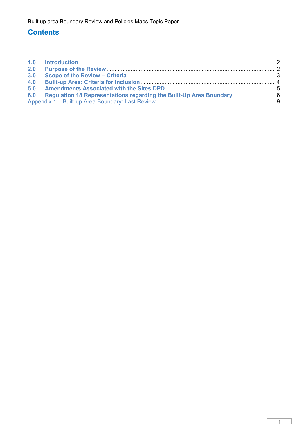#### **Contents**

| 2.0 Purpose of the Review Material According 2.0 Purpose of the Review Material According 2.0 |  |
|-----------------------------------------------------------------------------------------------|--|
|                                                                                               |  |
|                                                                                               |  |
|                                                                                               |  |
| 6.0 Regulation 18 Representations regarding the Built-Up Area Boundary 6                      |  |
|                                                                                               |  |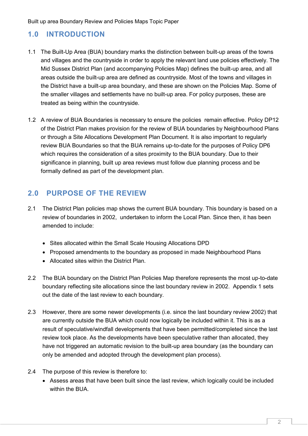#### **1.0 INTRODUCTION**

- 1.1 The Built-Up Area (BUA) boundary marks the distinction between built-up areas of the towns and villages and the countryside in order to apply the relevant land use policies effectively. The Mid Sussex District Plan (and accompanying Policies Map) defines the built-up area, and all areas outside the built-up area are defined as countryside. Most of the towns and villages in the District have a built-up area boundary, and these are shown on the Policies Map. Some of the smaller villages and settlements have no built-up area. For policy purposes, these are treated as being within the countryside.
- 1.2 A review of BUA Boundaries is necessary to ensure the policies remain effective. Policy DP12 of the District Plan makes provision for the review of BUA boundaries by Neighbourhood Plans or through a Site Allocations Development Plan Document. It is also important to regularly review BUA Boundaries so that the BUA remains up-to-date for the purposes of Policy DP6 which requires the consideration of a sites proximity to the BUA boundary. Due to their significance in planning, built up area reviews must follow due planning process and be formally defined as part of the development plan.

#### **2.0 PURPOSE OF THE REVIEW**

- 2.1 The District Plan policies map shows the current BUA boundary. This boundary is based on a review of boundaries in 2002, undertaken to inform the Local Plan. Since then, it has been amended to include:
	- Sites allocated within the Small Scale Housing Allocations DPD
	- Proposed amendments to the boundary as proposed in made Neighbourhood Plans
	- Allocated sites within the District Plan.
- 2.2 The BUA boundary on the District Plan Policies Map therefore represents the most up-to-date boundary reflecting site allocations since the last boundary review in 2002. Appendix 1 sets out the date of the last review to each boundary.
- 2.3 However, there are some newer developments (i.e. since the last boundary review 2002) that are currently outside the BUA which could now logically be included within it. This is as a result of speculative/windfall developments that have been permitted/completed since the last review took place. As the developments have been speculative rather than allocated, they have not triggered an automatic revision to the built-up area boundary (as the boundary can only be amended and adopted through the development plan process).
- 2.4 The purpose of this review is therefore to:
	- Assess areas that have been built since the last review, which logically could be included within the BUA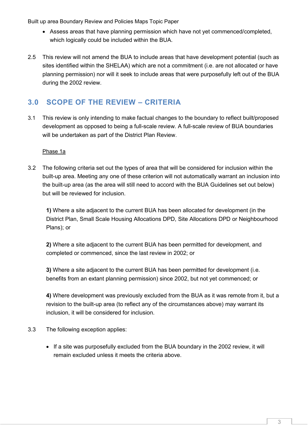- Assess areas that have planning permission which have not yet commenced/completed, which logically could be included within the BUA.
- 2.5 This review will not amend the BUA to include areas that have development potential (such as sites identified within the SHELAA) which are not a commitment (i.e. are not allocated or have planning permission) nor will it seek to include areas that were purposefully left out of the BUA during the 2002 review.

## **3.0 SCOPE OF THE REVIEW – CRITERIA**

3.1 This review is only intending to make factual changes to the boundary to reflect built/proposed development as opposed to being a full-scale review. A full-scale review of BUA boundaries will be undertaken as part of the District Plan Review.

Phase 1a

3.2 The following criteria set out the types of area that will be considered for inclusion within the built-up area. Meeting any one of these criterion will not automatically warrant an inclusion into the built-up area (as the area will still need to accord with the BUA Guidelines set out below) but will be reviewed for inclusion.

**1)** Where a site adjacent to the current BUA has been allocated for development (in the District Plan, Small Scale Housing Allocations DPD, Site Allocations DPD or Neighbourhood Plans); or

**2)** Where a site adjacent to the current BUA has been permitted for development, and completed or commenced, since the last review in 2002; or

**3)** Where a site adjacent to the current BUA has been permitted for development (i.e. benefits from an extant planning permission) since 2002, but not yet commenced; or

**4)** Where development was previously excluded from the BUA as it was remote from it, but a revision to the built-up area (to reflect any of the circumstances above) may warrant its inclusion, it will be considered for inclusion.

- 3.3 The following exception applies:
	- If a site was purposefully excluded from the BUA boundary in the 2002 review, it will remain excluded unless it meets the criteria above.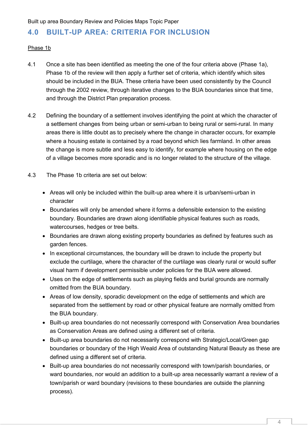#### **4.0 BUILT-UP AREA: CRITERIA FOR INCLUSION**

#### Phase 1b

- 4.1 Once a site has been identified as meeting the one of the four criteria above (Phase 1a), Phase 1b of the review will then apply a further set of criteria, which identify which sites should be included in the BUA. These criteria have been used consistently by the Council through the 2002 review, through iterative changes to the BUA boundaries since that time, and through the District Plan preparation process.
- 4.2 Defining the boundary of a settlement involves identifying the point at which the character of a settlement changes from being urban or semi-urban to being rural or semi-rural. In many areas there is little doubt as to precisely where the change in character occurs, for example where a housing estate is contained by a road beyond which lies farmland. In other areas the change is more subtle and less easy to identify, for example where housing on the edge of a village becomes more sporadic and is no longer related to the structure of the village.
- 4.3 The Phase 1b criteria are set out below:
	- Areas will only be included within the built-up area where it is urban/semi-urban in character
	- Boundaries will only be amended where it forms a defensible extension to the existing boundary. Boundaries are drawn along identifiable physical features such as roads, watercourses, hedges or tree belts.
	- Boundaries are drawn along existing property boundaries as defined by features such as garden fences.
	- In exceptional circumstances, the boundary will be drawn to include the property but exclude the curtilage, where the character of the curtilage was clearly rural or would suffer visual harm if development permissible under policies for the BUA were allowed.
	- Uses on the edge of settlements such as playing fields and burial grounds are normally omitted from the BUA boundary.
	- Areas of low density, sporadic development on the edge of settlements and which are separated from the settlement by road or other physical feature are normally omitted from the BUA boundary.
	- Built-up area boundaries do not necessarily correspond with Conservation Area boundaries as Conservation Areas are defined using a different set of criteria.
	- Built-up area boundaries do not necessarily correspond with Strategic/Local/Green gap boundaries or boundary of the High Weald Area of outstanding Natural Beauty as these are defined using a different set of criteria.
	- Built-up area boundaries do not necessarily correspond with town/parish boundaries, or ward boundaries, nor would an addition to a built-up area necessarily warrant a review of a town/parish or ward boundary (revisions to these boundaries are outside the planning process).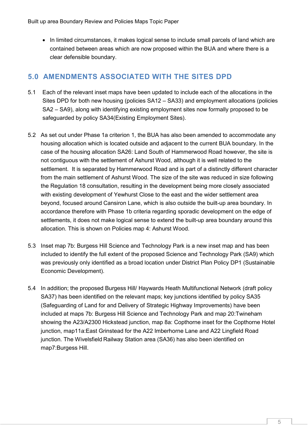• In limited circumstances, it makes logical sense to include small parcels of land which are contained between areas which are now proposed within the BUA and where there is a clear defensible boundary.

### **5.0 AMENDMENTS ASSOCIATED WITH THE SITES DPD**

- 5.1 Each of the relevant inset maps have been updated to include each of the allocations in the Sites DPD for both new housing (policies SA12 – SA33) and employment allocations (policies SA2 – SA9), along with identifying existing employment sites now formally proposed to be safeguarded by policy SA34(Existing Employment Sites).
- 5.2 As set out under Phase 1a criterion 1, the BUA has also been amended to accommodate any housing allocation which is located outside and adjacent to the current BUA boundary. In the case of the housing allocation SA26: Land South of Hammerwood Road however, the site is not contiguous with the settlement of Ashurst Wood, although it is well related to the settlement. It is separated by Hammerwood Road and is part of a distinctly different character from the main settlement of Ashurst Wood. The size of the site was reduced in size following the Regulation 18 consultation, resulting in the development being more closely associated with existing development of Yewhurst Close to the east and the wider settlement area beyond, focused around Cansiron Lane, which is also outside the built-up area boundary. In accordance therefore with Phase 1b criteria regarding sporadic development on the edge of settlements, it does not make logical sense to extend the built-up area boundary around this allocation. This is shown on Policies map 4: Ashurst Wood.
- 5.3 Inset map 7b: Burgess Hill Science and Technology Park is a new inset map and has been included to identify the full extent of the proposed Science and Technology Park (SA9) which was previously only identified as a broad location under District Plan Policy DP1 (Sustainable Economic Development).
- 5.4 In addition; the proposed Burgess Hill/ Haywards Heath Multifunctional Network (draft policy SA37) has been identified on the relevant maps; key junctions identified by policy SA35 (Safeguarding of Land for and Delivery of Strategic Highway Improvements) have been included at maps 7b: Burgess Hill Science and Technology Park and map 20:Twineham showing the A23/A2300 Hickstead junction, map 8a: Copthorne inset for the Copthorne Hotel junction, map11a:East Grinstead for the A22 Imberhorne Lane and A22 Lingfield Road junction. The Wivelsfield Railway Station area (SA36) has also been identified on map7:Burgess Hill.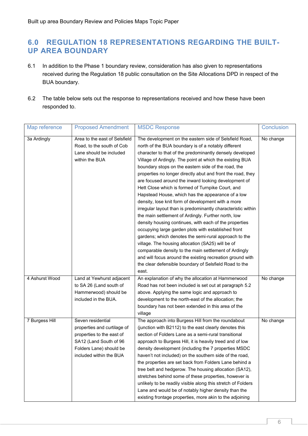#### **6.0 REGULATION 18 REPRESENTATIONS REGARDING THE BUILT-UP AREA BOUNDARY**

- 6.1 In addition to the Phase 1 boundary review, consideration has also given to representations received during the Regulation 18 public consultation on the Site Allocations DPD in respect of the BUA boundary.
- 6.2 The table below sets out the response to representations received and how these have been responded to.

| Map reference  | <b>Proposed Amendment</b>                                                                                                                                     | <b>MSDC Response</b>                                                                                                                                                                                                                                                                                                                                                                                                                                                                                                                                                                                                                                                                                                 | <b>Conclusion</b> |
|----------------|---------------------------------------------------------------------------------------------------------------------------------------------------------------|----------------------------------------------------------------------------------------------------------------------------------------------------------------------------------------------------------------------------------------------------------------------------------------------------------------------------------------------------------------------------------------------------------------------------------------------------------------------------------------------------------------------------------------------------------------------------------------------------------------------------------------------------------------------------------------------------------------------|-------------------|
| 3a Ardingly    | Area to the east of Selsfield<br>Road, to the south of Cob<br>Lane should be included<br>within the BUA                                                       | The development on the eastern side of Selsfield Road,<br>north of the BUA boundary is of a notably different<br>character to that of the predominantly densely developed<br>Village of Ardingly. The point at which the existing BUA<br>boundary stops on the eastern side of the road, the                                                                                                                                                                                                                                                                                                                                                                                                                         | No change         |
|                |                                                                                                                                                               | properties no longer directly abut and front the road, they<br>are focused around the inward looking development of<br>Hett Close which is formed of Turnpike Court, and<br>Hapstead House, which has the appearance of a low<br>density, lose knit form of development with a more<br>irregular layout than is predominantly characteristic within<br>the main settlement of Ardingly. Further north, low                                                                                                                                                                                                                                                                                                           |                   |
|                |                                                                                                                                                               | density housing continues, with each of the properties<br>occupying large garden plots with established front<br>gardens; which denotes the semi-rural approach to the<br>village. The housing allocation (SA25) will be of<br>comparable density to the main settlement of Ardingly<br>and will focus around the existing recreation ground with<br>the clear defensible boundary of Selsfield Road to the<br>east.                                                                                                                                                                                                                                                                                                 |                   |
| 4 Ashurst Wood | Land at Yewhurst adjacent<br>to SA 26 (Land south of<br>Hammerwood) should be<br>included in the BUA.                                                         | An explanation of why the allocation at Hammerwood<br>Road has not been included is set out at paragraph 5.2<br>above. Applying the same logic and approach to<br>development to the north-east of the allocation; the<br>boundary has not been extended in this area of the<br>village                                                                                                                                                                                                                                                                                                                                                                                                                              | No change         |
| 7 Burgess Hill | Seven residential<br>properties and curtilage of<br>properties to the east of<br>SA12 (Land South of 96<br>Folders Lane) should be<br>included within the BUA | The approach into Burgess Hill from the roundabout<br>(junction with B2112) to the east clearly denotes this<br>section of Folders Lane as a semi-rural transitional<br>approach to Burgess Hill, it is heavily treed and of low<br>density development (including the 7 properties MSDC<br>haven't not included) on the southern side of the road,<br>the properties are set back from Folders Lane behind a<br>tree belt and hedgerow. The housing allocation (SA12),<br>stretches behind some of these properties, however is<br>unlikely to be readily visible along this stretch of Folders<br>Lane and would be of notably higher density than the<br>existing frontage properties, more akin to the adjoining | No change         |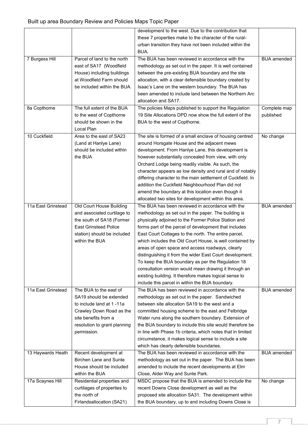|                    |                               | development to the west. Due to the contribution that       |                    |
|--------------------|-------------------------------|-------------------------------------------------------------|--------------------|
|                    |                               | these 7 properties make to the character of the rural-      |                    |
|                    |                               | urban transition they have not been included within the     |                    |
|                    |                               | BUA.                                                        |                    |
| 7 Burgess Hill     | Parcel of land to the north   | The BUA has been reviewed in accordance with the            | <b>BUA</b> amended |
|                    | east of SA17 (Woodfield       | methodology as set out in the paper. It is well contained   |                    |
|                    | House) including buildings    | between the pre-existing BUA boundary and the site          |                    |
|                    | at Woodfield Farm should      | allocation, with a clear defensible boundary created by     |                    |
|                    | be included within the BUA.   | Isaac's Lane on the western boundary. The BUA has           |                    |
|                    |                               | been amended to include land between the Northern Arc       |                    |
|                    |                               | allocation and SA17.                                        |                    |
| 8a Copthorne       | The full extent of the BUA    | The policies Maps published to support the Regulation       | Complete map       |
|                    | to the west of Copthorne      | 19 Site Allocations DPD now show the full extent of the     | published          |
|                    | should be shown in the        | BUA to the west of Copthorne.                               |                    |
|                    | Local Plan                    |                                                             |                    |
| 10 Cuckfield       | Area to the east of SA23      | The site is formed of a small enclave of housing centred    | No change          |
|                    | (Land at Hanlye Lane)         | around Horsgate House and the adjacent mews                 |                    |
|                    | should be included within     | development. From Hanlye Lane, this development is          |                    |
|                    | the BUA                       | however substantially concealed from view, with only        |                    |
|                    |                               | Orchard Lodge being readily visible. As such, the           |                    |
|                    |                               | character appears as low density and rural and of notably   |                    |
|                    |                               | differing character to the main settlement of Cuckfield. In |                    |
|                    |                               | addition the Cuckfield Neighbourhood Plan did not           |                    |
|                    |                               | amend the boundary at this location even though it          |                    |
|                    |                               | allocated two sites for development within this area.       |                    |
| 11a East Grinstead | Old Court House Building      | The BUA has been reviewed in accordance with the            | <b>BUA</b> amended |
|                    |                               |                                                             |                    |
|                    | and associated curtilage to   | methodology as set out in the paper. The building is        |                    |
|                    | the south of SA18 (Former     | physically adjoined to the Former Police Station and        |                    |
|                    | <b>East Grinstead Police</b>  | forms part of the parcel of development that includes       |                    |
|                    | station) should be included   | East Court Cottages to the north. The entire parcel,        |                    |
|                    | within the BUA                | which includes the Old Court House, is well contained by    |                    |
|                    |                               | areas of open space and access roadways, clearly            |                    |
|                    |                               | distinguishing it from the wider East Court development.    |                    |
|                    |                               | To keep the BUA boundary as per the Regulation 18           |                    |
|                    |                               | consultation version would mean drawing it through an       |                    |
|                    |                               | existing building. It therefore makes logical sense to      |                    |
|                    |                               | include this parcel in within the BUA boundary.             |                    |
| 11a East Grinstead | The BUA to the east of        | The BUA has been reviewed in accordance with the            | <b>BUA</b> amended |
|                    | SA19 should be extended       | methodology as set out in the paper. Sandwiched             |                    |
|                    | to include land at 1-11a      | between site allocation SA19 to the west and a              |                    |
|                    | Crawley Down Road as the      | committed housing scheme to the east and Felbridge          |                    |
|                    | site benefits from a          | Water runs along the southern boundary. Extension of        |                    |
|                    | resolution to grant planning  | the BUA boundary to include this site would therefore be    |                    |
|                    | permission.                   | in line with Phase 1b criteria, which notes that in limited |                    |
|                    |                               | circumstance, it makes logical sense to include a site      |                    |
|                    |                               | which has clearly defensible boundaries.                    |                    |
| 13 Haywards Heath  | Recent development at         | The BUA has been reviewed in accordance with the            | <b>BUA</b> amended |
|                    | <b>Birchen Lane and Sunte</b> | methodology as set out in the paper. The BUA has been       |                    |
|                    | House should be included      | amended to include the recent developments at Elm           |                    |
|                    | within the BUA                | Close, Alder Way and Sunte Park.                            |                    |
| 17a Scaynes Hill   | Residential properties and    | MSDC propose that the BUA is amended to include the         | No change          |
|                    | curtilages of properties to   | recent Downs Close development as well as the               |                    |
|                    | the north of                  | proposed site allocation SA31. The development within       |                    |
|                    | Firlandsallocation (SA21)     | the BUA boundary, up to and including Downs Close is        |                    |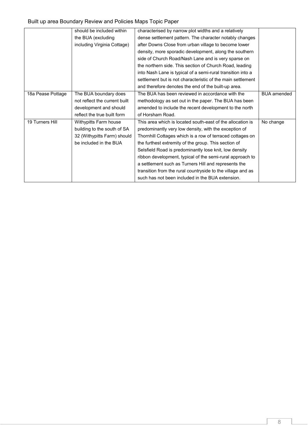|                   | should be included within     | characterised by narrow plot widths and a relatively        |                    |
|-------------------|-------------------------------|-------------------------------------------------------------|--------------------|
|                   | the BUA (excluding            | dense settlement pattern. The character notably changes     |                    |
|                   | including Virginia Cottage)   | after Downs Close from urban village to become lower        |                    |
|                   |                               | density, more sporadic development, along the southern      |                    |
|                   |                               | side of Church Road/Nash Lane and is very sparse on         |                    |
|                   |                               | the northern side. This section of Church Road, leading     |                    |
|                   |                               | into Nash Lane is typical of a semi-rural transition into a |                    |
|                   |                               | settlement but is not characteristic of the main settlement |                    |
|                   |                               | and therefore denotes the end of the built-up area.         |                    |
| 18a Pease Pottage | The BUA boundary does         | The BUA has been reviewed in accordance with the            | <b>BUA</b> amended |
|                   | not reflect the current built | methodology as set out in the paper. The BUA has been       |                    |
|                   | development and should        | amended to include the recent development to the north      |                    |
|                   | reflect the true built form   | of Horsham Road.                                            |                    |
| 19 Turners Hill   | Withypitts Farm house         | This area which is located south-east of the allocation is  | No change          |
|                   | building to the south of SA   | predominantly very low density, with the exception of       |                    |
|                   | 32 (Withypitts Farm) should   | Thornhill Cottages which is a row of terraced cottages on   |                    |
|                   | be included in the BUA        | the furthest extremity of the group. This section of        |                    |
|                   |                               | Selsfield Road is predominantly lose knit, low density      |                    |
|                   |                               | ribbon development, typical of the semi-rural approach to   |                    |
|                   |                               | a settlement such as Turners Hill and represents the        |                    |
|                   |                               | transition from the rural countryside to the village and as |                    |
|                   |                               | such has not been included in the BUA extension.            |                    |